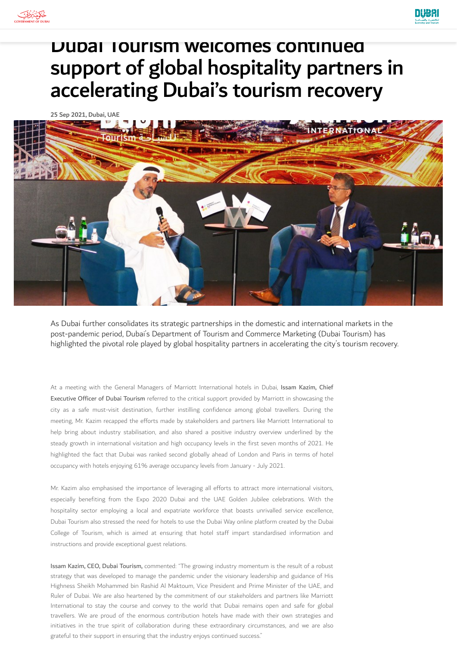



## Dubai Tourism welcomes continued support of global hospitality partners in accelerating Dubai's tourism recovery

25 Sep 2021, Dubai, UAE



As Dubai further consolidates its strategic partnerships in the domestic and international markets in the post-pandemic period, Dubai's Department of Tourism and Commerce Marketing (Dubai Tourism) has highlighted the pivotal role played by global hospitality partners in accelerating the city's tourism recovery.

At a meeting with the General Managers of Marriott International hotels in Dubai, Issam Kazim, Chief Executive Officer of Dubai Tourism referred to the critical support provided by Marriott in showcasing the city as a safe must-visit destination, further instilling confidence among global travellers. During the meeting, Mr. Kazim recapped the efforts made by stakeholders and partners like Marriott International to help bring about industry stabilisation, and also shared a positive industry overview underlined by the steady growth in international visitation and high occupancy levels in the first seven months of 2021. He highlighted the fact that Dubai was ranked second globally ahead of London and Paris in terms of hotel occupancy with hotels enjoying 61% average occupancy levels from January - July 2021.

Mr. Kazim also emphasised the importance of leveraging all efforts to attract more international visitors, especially benefiting from the Expo 2020 Dubai and the UAE Golden Jubilee celebrations. With the hospitality sector employing a local and expatriate workforce that boasts unrivalled service excellence, Dubai Tourism also stressed the need for hotels to use the Dubai Way online platform created by the Dubai College of Tourism, which is aimed at ensuring that hotel staff impart standardised information and instructions and provide exceptional guest relations.

Issam Kazim, CEO, Dubai Tourism, commented: "The growing industry momentum is the result of a robust strategy that was developed to manage the pandemic under the visionary leadership and guidance of His Highness Sheikh Mohammed bin Rashid Al Maktoum, Vice President and Prime Minister of the UAE, and Ruler of Dubai. We are also heartened by the commitment of our stakeholders and partners like Marriott International to stay the course and convey to the world that Dubai remains open and safe for global travellers. We are proud of the enormous contribution hotels have made with their own strategies and initiatives in the true spirit of collaboration during these extraordinary circumstances, and we are also grateful to their support in ensuring that the industry enjoys continued success."